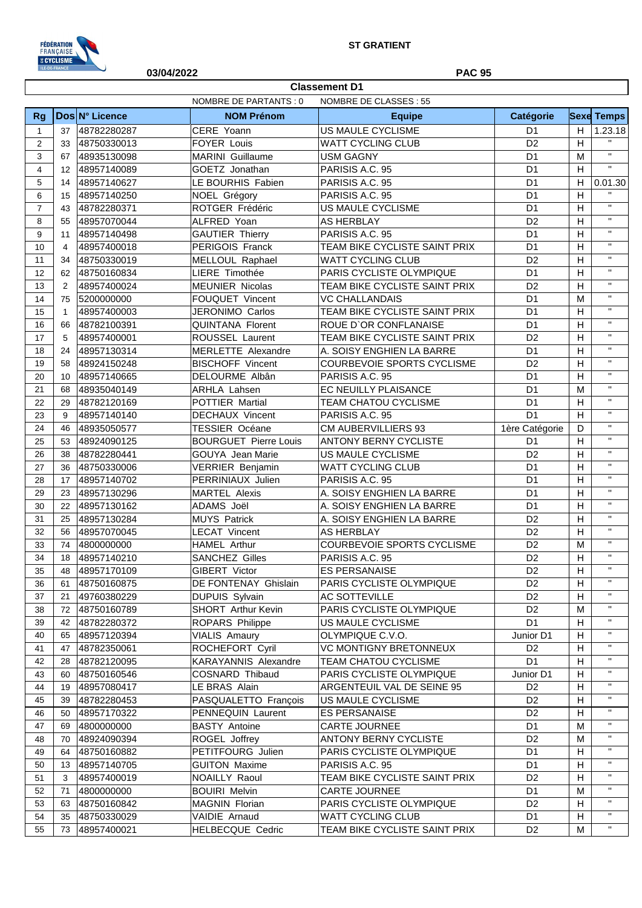

|                |                | 03/04/2022     |                              | <b>PAC 95</b>                                          |                |   |                   |
|----------------|----------------|----------------|------------------------------|--------------------------------------------------------|----------------|---|-------------------|
|                |                |                |                              | <b>Classement D1</b>                                   |                |   |                   |
|                |                |                | <b>NOMBRE DE PARTANTS: 0</b> | NOMBRE DE CLASSES : 55                                 |                |   |                   |
| <b>Rg</b>      |                | Dos N° Licence | <b>NOM Prénom</b>            | <b>Equipe</b>                                          | Catégorie      |   | <b>Sexe Temps</b> |
| $\mathbf{1}$   | 37             | 48782280287    | CERE Yoann                   | <b>US MAULE CYCLISME</b>                               | D <sub>1</sub> | Н | 1.23.18           |
| 2              | 33             | 48750330013    | <b>FOYER Louis</b>           | <b>WATT CYCLING CLUB</b>                               | D <sub>2</sub> | H | $\mathbf{H}$      |
| 3              | 67             | 48935130098    | <b>MARINI</b> Guillaume      | <b>USM GAGNY</b>                                       | D <sub>1</sub> | M | $\mathbf{H}$      |
| $\overline{4}$ | 12             | 48957140089    | GOETZ Jonathan               | PARISIS A.C. 95                                        | D <sub>1</sub> | H | $\mathbf{H}$      |
| 5              | 14             | 48957140627    | LE BOURHIS Fabien            | PARISIS A.C. 95                                        | D <sub>1</sub> | H | 0.01.30           |
| 6              | 15             | 48957140250    | NOEL Grégory                 | PARISIS A.C. 95                                        | D <sub>1</sub> | H | $\mathbf{H}$      |
| $\overline{7}$ | 43             | 48782280371    | ROTGER Frédéric              | US MAULE CYCLISME                                      | D <sub>1</sub> | H | $\mathbf{H}$      |
| 8              | 55             | 48957070044    | ALFRED Yoan                  | <b>AS HERBLAY</b>                                      | D <sub>2</sub> | H | $\mathbf{H}$      |
| 9              | 11             | 48957140498    | <b>GAUTIER Thierry</b>       | PARISIS A.C. 95                                        | D <sub>1</sub> | H | $\mathbf{H}$      |
| 10             | $\overline{4}$ | 48957400018    | PERIGOIS Franck              | TEAM BIKE CYCLISTE SAINT PRIX                          | D <sub>1</sub> | H | $\mathbf{H}$      |
| 11             | 34             | 48750330019    | MELLOUL Raphael              | <b>WATT CYCLING CLUB</b>                               | D <sub>2</sub> | H | $\mathbf{H}$      |
| 12             | 62             | 48750160834    | LIERE Timothée               | PARIS CYCLISTE OLYMPIQUE                               | D <sub>1</sub> | H | $\mathbf{H}$      |
| 13             | 2              | 48957400024    | <b>MEUNIER Nicolas</b>       | TEAM BIKE CYCLISTE SAINT PRIX                          | D <sub>2</sub> | H | $\mathbf{H}$      |
| 14             | 75             | 5200000000     | <b>FOUQUET Vincent</b>       | <b>VC CHALLANDAIS</b>                                  | D <sub>1</sub> | M | $\mathbf{H}$      |
| 15             | 1              | 48957400003    | JERONIMO Carlos              | TEAM BIKE CYCLISTE SAINT PRIX                          | D <sub>1</sub> | H | $\mathbf{H}$      |
| 16             |                |                |                              |                                                        | D <sub>1</sub> |   | $\mathbf{H}$      |
|                | 66             | 48782100391    | <b>QUINTANA Florent</b>      | ROUE D'OR CONFLANAISE<br>TEAM BIKE CYCLISTE SAINT PRIX |                | H | $\mathbf{H}$      |
| 17             | 5              | 48957400001    | ROUSSEL Laurent              |                                                        | D <sub>2</sub> | H | $\mathbf{H}$      |
| 18             | 24             | 48957130314    | <b>MERLETTE Alexandre</b>    | A. SOISY ENGHIEN LA BARRE                              | D <sub>1</sub> | H | $\mathbf{H}$      |
| 19             | 58             | 48924150248    | <b>BISCHOFF Vincent</b>      | COURBEVOIE SPORTS CYCLISME                             | D <sub>2</sub> | H | $\mathbf{H}$      |
| 20             | 10             | 48957140665    | DELOURME Albân               | PARISIS A.C. 95                                        | D <sub>1</sub> | H | $\mathbf{H}$      |
| 21             | 68             | 48935040149    | <b>ARHLA Lahsen</b>          | EC NEUILLY PLAISANCE                                   | D <sub>1</sub> | M |                   |
| 22             | 29             | 48782120169    | POTTIER Martial              | TEAM CHATOU CYCLISME                                   | D <sub>1</sub> | H | $\mathbf{H}$      |
| 23             | 9              | 48957140140    | <b>DECHAUX Vincent</b>       | PARISIS A.C. 95                                        | D <sub>1</sub> | H | $\mathbf{H}$      |
| 24             | 46             | 48935050577    | <b>TESSIER Océane</b>        | <b>CM AUBERVILLIERS 93</b>                             | 1ère Catégorie | D | $\mathbf{H}$      |
| 25             | 53             | 48924090125    | <b>BOURGUET Pierre Louis</b> | <b>ANTONY BERNY CYCLISTE</b>                           | D <sub>1</sub> | H | $\mathbf{H}$      |
| 26             | 38             | 48782280441    | GOUYA Jean Marie             | US MAULE CYCLISME                                      | D <sub>2</sub> | H | $\mathbf{H}$      |
| 27             | 36             | 48750330006    | VERRIER Benjamin             | <b>WATT CYCLING CLUB</b>                               | D <sub>1</sub> | H | $\mathbf{H}$      |
| 28             | 17             | 48957140702    | PERRINIAUX Julien            | PARISIS A.C. 95                                        | D <sub>1</sub> | H | $\mathbf{H}$      |
| 29             | 23             | 48957130296    | <b>MARTEL Alexis</b>         | A. SOISY ENGHIEN LA BARRE                              | D <sub>1</sub> | H | $\mathbf{H}$      |
| 30             | 22             | 48957130162    | ADAMS Joël                   | A. SOISY ENGHIEN LA BARRE                              | D <sub>1</sub> | H | $\mathbf{H}$      |
| 31             | 25             | 48957130284    | <b>MUYS Patrick</b>          | A. SOISY ENGHIEN LA BARRE                              | D <sub>2</sub> | H | $\mathbf{H}$      |
| 32             | 56             | 48957070045    | <b>LECAT Vincent</b>         | <b>AS HERBLAY</b>                                      | D <sub>2</sub> | H | $\mathbf{H}$      |
| 33             | 74             | 4800000000     | <b>HAMEL Arthur</b>          | <b>COURBEVOIE SPORTS CYCLISME</b>                      | D <sub>2</sub> | M | $\mathbf{H}$      |
| 34             | 18             | 48957140210    | <b>SANCHEZ Gilles</b>        | PARISIS A.C. 95                                        | D <sub>2</sub> | H | $\mathbf{H}$      |
| 35             | 48             | 48957170109    | GIBERT Victor                | <b>ES PERSANAISE</b>                                   | D <sub>2</sub> | Н | $\mathbf{H}$      |
| 36             | 61             | 48750160875    | DE FONTENAY Ghislain         | PARIS CYCLISTE OLYMPIQUE                               | D <sub>2</sub> | Н | $\mathbf{H}$      |
| 37             | 21             | 49760380229    | DUPUIS Sylvain               | AC SOTTEVILLE                                          | D <sub>2</sub> | Н | $\mathbf{H}$      |
| 38             | 72             | 48750160789    | SHORT Arthur Kevin           | PARIS CYCLISTE OLYMPIQUE                               | D <sub>2</sub> | M | $\mathbf{H}$      |
| 39             | 42             | 48782280372    | ROPARS Philippe              | US MAULE CYCLISME                                      | D <sub>1</sub> | Н | $\mathbf{H}$      |
| 40             | 65             | 48957120394    | <b>VIALIS Amaury</b>         | OLYMPIQUE C.V.O.                                       | Junior D1      | Н | $\mathbf{H}$      |
| 41             | 47             | 48782350061    | ROCHEFORT Cyril              | <b>VC MONTIGNY BRETONNEUX</b>                          | D <sub>2</sub> | Н | $\mathbf{H}$      |
| 42             | 28             | 48782120095    | <b>KARAYANNIS Alexandre</b>  | TEAM CHATOU CYCLISME                                   | D <sub>1</sub> | Н | $\mathbf{H}$      |
| 43             | 60             | 48750160546    | <b>COSNARD Thibaud</b>       | PARIS CYCLISTE OLYMPIQUE                               | Junior D1      | Н | $\mathbf{H}$      |
| 44             | 19             | 48957080417    | LE BRAS Alain                | ARGENTEUIL VAL DE SEINE 95                             | D <sub>2</sub> | Н | $\mathbf{H}$      |
| 45             | 39             | 48782280453    | PASQUALETTO François         | US MAULE CYCLISME                                      | D <sub>2</sub> | Н | $\mathbf{H}$      |
| 46             | 50             | 48957170322    | PENNEQUIN Laurent            | <b>ES PERSANAISE</b>                                   | D <sub>2</sub> | Н | $\mathbf{H}$      |
| 47             | 69             | 4800000000     | <b>BASTY Antoine</b>         | CARTE JOURNEE                                          | D <sub>1</sub> | M | $\mathbf H$       |
| 48             | 70             | 48924090394    | ROGEL Joffrey                | ANTONY BERNY CYCLISTE                                  | D <sub>2</sub> | M | $\mathbf{H}$      |
| 49             | 64             |                | PETITFOURG Julien            | PARIS CYCLISTE OLYMPIQUE                               | D <sub>1</sub> | Н | $\mathbf{H}$      |
|                |                | 48750160882    |                              |                                                        |                |   | $\mathbf{H}$      |
| 50             | 13             | 48957140705    | <b>GUITON Maxime</b>         | PARISIS A.C. 95                                        | D <sub>1</sub> | Н | $\mathbf{H}$      |
| 51             | 3              | 48957400019    | <b>NOAILLY Raoul</b>         | TEAM BIKE CYCLISTE SAINT PRIX                          | D <sub>2</sub> | Н | $\mathbf{H}$      |
| 52             | 71             | 4800000000     | <b>BOUIRI Melvin</b>         | CARTE JOURNEE                                          | D <sub>1</sub> | M | $\mathbf{H}$      |
| 53             | 63             | 48750160842    | MAGNIN Florian               | PARIS CYCLISTE OLYMPIQUE                               | D <sub>2</sub> | Н |                   |
| 54             | 35             | 48750330029    | VAIDIE Arnaud                | WATT CYCLING CLUB                                      | D <sub>1</sub> | Н | $\mathbf{H}$      |

73 48957400021 HELBECQUE Cedric TEAM BIKE CYCLISTE SAINT PRIX D2 M ''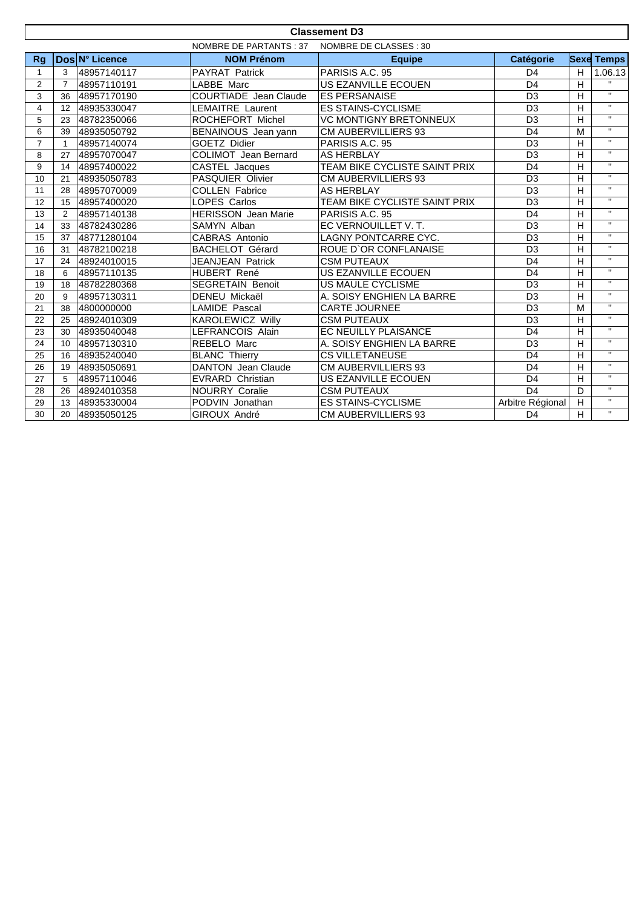| <b>Classement D3</b> |                                                   |                |                              |                               |                  |                |                         |  |
|----------------------|---------------------------------------------------|----------------|------------------------------|-------------------------------|------------------|----------------|-------------------------|--|
|                      | NOMBRE DE PARTANTS : 37<br>NOMBRE DE CLASSES : 30 |                |                              |                               |                  |                |                         |  |
| Rg                   |                                                   | Dos N° Licence | <b>NOM Prénom</b>            | <b>Equipe</b>                 | <b>Catégorie</b> |                | <b>Sexe Temps</b>       |  |
| 1                    | 3                                                 | 48957140117    | PAYRAT Patrick               | PARISIS A.C. 95               | D <sub>4</sub>   |                | 1.06.13                 |  |
| $\overline{2}$       | $\overline{7}$                                    | 48957110191    | LABBE Marc                   | US EZANVILLE ECOUEN           | D <sub>4</sub>   | $\overline{H}$ | $\overline{u}$          |  |
| 3                    | 36                                                | 48957170190    | <b>COURTIADE</b> Jean Claude | <b>ES PERSANAISE</b>          | D <sub>3</sub>   | H              | $\overline{u}$          |  |
| $\overline{4}$       | 12                                                | 48935330047    | LEMAITRE Laurent             | <b>ES STAINS-CYCLISME</b>     | D <sub>3</sub>   |                | $\overline{u}$          |  |
| 5                    | 23                                                | 48782350066    | ROCHEFORT Michel             | <b>VC MONTIGNY BRETONNEUX</b> | D <sub>3</sub>   | $\mathsf{H}$   | $\mathbf{H}$            |  |
| 6                    | 39                                                | 48935050792    | BENAINOUS Jean yann          | <b>CM AUBERVILLIERS 93</b>    | D <sub>4</sub>   | M              | $\mathbf{H}$            |  |
| $\overline{7}$       | $\mathbf{1}$                                      | 48957140074    | GOETZ Didier                 | PARISIS A.C. 95               | D <sub>3</sub>   | $\overline{H}$ | $\mathbf{H}$            |  |
| 8                    | 27                                                | 48957070047    | <b>COLIMOT</b> Jean Bernard  | <b>AS HERBLAY</b>             | D <sub>3</sub>   | $\mathsf{H}$   | $\mathbf{H}$            |  |
| 9                    | 14                                                | 48957400022    | CASTEL Jacques               | TEAM BIKE CYCLISTE SAINT PRIX | D <sub>4</sub>   | H              | $\overline{\mathbf{u}}$ |  |
| 10                   | 21                                                | 48935050783    | <b>PASQUIER Olivier</b>      | <b>CM AUBERVILLIERS 93</b>    | D <sub>3</sub>   | $\overline{H}$ | $\overline{u}$          |  |
| 11                   | 28                                                | 48957070009    | <b>COLLEN Fabrice</b>        | <b>AS HERBLAY</b>             | $\overline{D3}$  | H              | $\mathbf{H}$            |  |
| 12                   | 15                                                | 48957400020    | <b>LOPES Carlos</b>          | TEAM BIKE CYCLISTE SAINT PRIX | $\overline{D3}$  | H              | $\mathbf{H}$            |  |
| 13                   | 2                                                 | 48957140138    | <b>HERISSON</b> Jean Marie   | PARISIS A.C. 95               | D <sub>4</sub>   | H              | $\mathbf{H}$            |  |
| 14                   | 33                                                | 48782430286    | SAMYN Alban                  | EC VERNOUILLET V.T.           | D <sub>3</sub>   | H              | $\mathbf{H}$            |  |
| 15                   | 37                                                | 48771280104    | CABRAS Antonio               | <b>LAGNY PONTCARRE CYC.</b>   | D <sub>3</sub>   | $\overline{H}$ | $\mathbf{H}$            |  |
| 16                   | 31                                                | 48782100218    | <b>BACHELOT Gérard</b>       | ROUE D'OR CONFLANAISE         | $\overline{D3}$  | H              | $\mathbf{H}$            |  |
| 17                   | 24                                                | 48924010015    | JEANJEAN Patrick             | <b>CSM PUTEAUX</b>            | D <sub>4</sub>   | $\overline{H}$ | $\overline{u}$          |  |
| 18                   | 6                                                 | 48957110135    | <b>HUBERT René</b>           | US EZANVILLE ECOUEN           | D <sub>4</sub>   | H              | $\mathbf{H}$            |  |
| 19                   | 18                                                | 48782280368    | <b>SEGRETAIN Benoit</b>      | US MAULE CYCLISME             | D <sub>3</sub>   | H              | $\mathbf{H}$            |  |
| 20                   | 9                                                 | 48957130311    | <b>DENEU Mickaël</b>         | A. SOISY ENGHIEN LA BARRE     | D <sub>3</sub>   | H              | $\mathbf{H}$            |  |
| 21                   | 38                                                | 4800000000     | <b>LAMIDE Pascal</b>         | <b>CARTE JOURNEE</b>          | D <sub>3</sub>   | M              | $\mathbf{H}$            |  |
| 22                   | 25                                                | 48924010309    | <b>KAROLEWICZ Willy</b>      | <b>CSM PUTEAUX</b>            | D <sub>3</sub>   | H              | $\mathbf{H}$            |  |
| 23                   | 30                                                | 48935040048    | LEFRANCOIS Alain             | EC NEUILLY PLAISANCE          | D <sub>4</sub>   | $\mathsf{H}$   | $\mathbf{H}$            |  |
| 24                   | 10                                                | 48957130310    | REBELO Marc                  | A. SOISY ENGHIEN LA BARRE     | D <sub>3</sub>   | H              | $\mathbf{H}$            |  |
| 25                   | 16                                                | 48935240040    | <b>BLANC Thierry</b>         | <b>CS VILLETANEUSE</b>        | D <sub>4</sub>   | $\overline{H}$ | $\mathbf{H}$            |  |
| 26                   | 19                                                | 48935050691    | <b>DANTON</b> Jean Claude    | CM AUBERVILLIERS 93           | D <sub>4</sub>   | H              | $\mathbf{H}$            |  |
| 27                   | 5                                                 | 48957110046    | <b>EVRARD Christian</b>      | US EZANVILLE ECOUEN           | D <sub>4</sub>   | H              | $\mathbf{H}$            |  |
| 28                   | 26                                                | 48924010358    | <b>NOURRY Coralie</b>        | <b>CSM PUTEAUX</b>            | D <sub>4</sub>   | D              | $\mathbf{H}$            |  |
| 29                   | 13                                                | 48935330004    | PODVIN Jonathan              | <b>ES STAINS-CYCLISME</b>     | Arbitre Régional | H              | $\mathbf{H}$            |  |
| 30                   | 20                                                | 48935050125    | GIROUX André                 | <b>CM AUBERVILLIERS 93</b>    | D <sub>4</sub>   | H              | $\mathbf{H}$            |  |